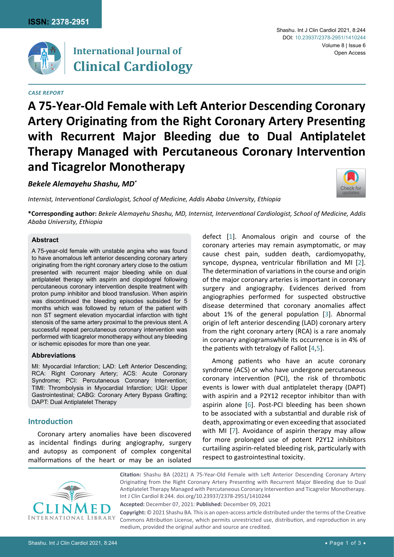

## **International Journal of Clinical Cardiology**

### *Case Report*

### Shashu. Int J Clin Cardiol 2021, 8:244 Volume 8 | Issue 6 Open Access DOI: [10.23937/2378-2951/1410244](https://doi.org/10.23937/2378-2951/1410244)

# **A 75-Year-Old Female with Left Anterior Descending Coronary Artery Originating from the Right Coronary Artery Presenting with Recurrent Major Bleeding due to Dual Antiplatelet Therapy Managed with Percutaneous Coronary Intervention and Ticagrelor Monotherapy**

*Bekele Alemayehu Shashu, MD\**

*Internist, Interventional Cardiologist, School of Medicine, Addis Ababa University, Ethiopia*



**\*Corresponding author:** *Bekele Alemayehu Shashu, MD, Internist, Interventional Cardiologist, School of Medicine, Addis Ababa University, Ethiopia*

## **Abstract**

A 75-year-old female with unstable angina who was found to have anomalous left anterior descending coronary artery originating from the right coronary artery close to the ostium presented with recurrent major bleeding while on dual antiplatelet therapy with aspirin and clopidogrel following percutaneous coronary intervention despite treatment with proton pump inhibitor and blood transfusion. When aspirin was discontinued the bleeding episodes subsided for 5 months which was followed by return of the patient with non ST segment elevation myocardial infarction with tight stenosis of the same artery proximal to the previous stent. A successful repeat percutaneous coronary intervention was performed with ticagrelor monotherapy without any bleeding or ischemic episodes for more than one year.

## **Abbreviations**

MI: Myocardial Infarction; LAD: Left Anterior Descending; RCA: Right Coronary Artery; ACS: Acute Coronary Syndrome; PCI: Percutaneous Coronary Intervention; TIMI: Thrombolysis in Myocardial Infarction; UGI: Upper Gastrointestinal; CABG: Coronary Artery Bypass Grafting; DAPT: Dual Antiplatelet Therapy

## **Introduction**

Coronary artery anomalies have been discovered as incidental findings during angiography, surgery and autopsy as component of complex congenital malformations of the heart or may be an isolated

defect [[1](#page-2-0)]. Anomalous origin and course of the coronary arteries may remain asymptomatic, or may cause chest pain, sudden death, cardiomyopathy, syncope, dyspnea, ventricular fibrillation and MI [[2](#page-2-1)]. The determination of variations in the course and origin of the major coronary arteries is important in coronary surgery and angiography. Evidences derived from angiographies performed for suspected obstructive disease determined that coronary anomalies affect about 1% of the general population [[3\]](#page-2-2). Abnormal origin of left anterior descending (LAD) coronary artery from the right coronary artery (RCA) is a rare anomaly in coronary angiogramswhile its occurrence is in 4% of the patients with tetralogy of Fallot [\[4,](#page-2-3)[5](#page-2-4)].

Among patients who have an acute coronary syndrome (ACS) or who have undergone percutaneous coronary intervention (PCI), the risk of thrombotic events is lower with dual antiplatelet therapy (DAPT) with aspirin and a P2Y12 receptor inhibitor than with aspirin alone [[6](#page-2-5)]. Post-PCI bleeding has been shown to be associated with a substantial and durable risk of death, approximating or even exceeding that associated with MI [[7](#page-2-6)]. Avoidance of aspirin therapy may allow for more prolonged use of potent P2Y12 inhibitors curtailing aspirin-related bleeding risk, particularly with respect to gastrointestinal toxicity.



**Citation:** Shashu BA (2021) A 75-Year-Old Female with Left Anterior Descending Coronary Artery Originating from the Right Coronary Artery Presenting with Recurrent Major Bleeding due to Dual Antiplatelet Therapy Managed with Percutaneous Coronary Intervention and Ticagrelor Monotherapy. Int J Clin Cardiol 8:244. [doi.org/10.23937/2378-2951/1410244](https://doi.org/10.23937/2378-2951/1410244)

**Accepted:** December 07, 2021: **Published:** December 09, 2021

**Copyright:** © 2021 Shashu BA. This is an open-access article distributed under the terms of the Creative Commons Attribution License, which permits unrestricted use, distribution, and reproduction in any medium, provided the original author and source are credited.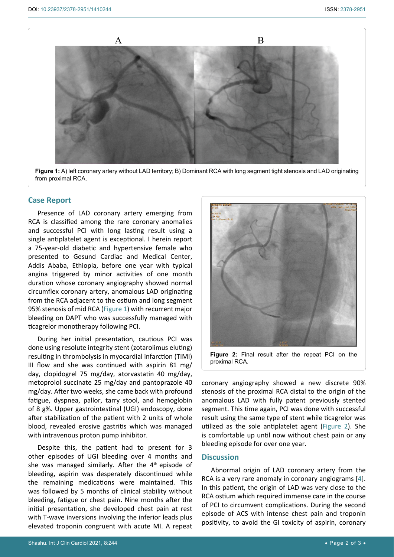<span id="page-1-1"></span>٦



**Figure 1:** A) left coronary artery without LAD territory; B) Dominant RCA with long segment tight stenosis and LAD originating from proximal RCA.

## **Case Report**

Presence of LAD coronary artery emerging from RCA is classified among the rare coronary anomalies and successful PCI with long lasting result using a single antiplatelet agent is exceptional. I herein report a 75-year-old diabetic and hypertensive female who presented to Gesund Cardiac and Medical Center, Addis Ababa, Ethiopia, before one year with typical angina triggered by minor activities of one month duration whose coronary angiography showed normal circumflex coronary artery, anomalous LAD originating from the RCA adjacent to the ostium and long segment 95% stenosis of mid RCA [\(Figure 1](#page-1-1)) with recurrent major bleeding on DAPT who was successfully managed with ticagrelor monotherapy following PCI.

During her initial presentation, cautious PCI was done using resolute integrity stent (zotarolimus eluting) resulting in thrombolysis in myocardial infarction (TIMI) III flow and she was continued with aspirin 81 mg/ day, clopidogrel 75 mg/day, atorvastatin 40 mg/day, metoprolol succinate 25 mg/day and pantoprazole 40 mg/day. After two weeks, she came back with profound fatigue, dyspnea, pallor, tarry stool, and hemoglobin of 8 g%. Upper gastrointestinal (UGI) endoscopy, done after stabilization of the patient with 2 units of whole blood, revealed erosive gastritis which was managed with intravenous proton pump inhibitor.

Despite this, the patient had to present for 3 other episodes of UGI bleeding over 4 months and she was managed similarly. After the 4<sup>th</sup> episode of bleeding, aspirin was desperately discontinued while the remaining medications were maintained. This was followed by 5 months of clinical stability without bleeding, fatigue or chest pain. Nine months after the initial presentation, she developed chest pain at rest with T-wave inversions involving the inferior leads plus elevated troponin congruent with acute MI. A repeat

<span id="page-1-0"></span>

coronary angiography showed a new discrete 90% stenosis of the proximal RCA distal to the origin of the anomalous LAD with fully patent previously stented segment. This time again, PCI was done with successful result using the same type of stent while ticagrelor was utilized as the sole antiplatelet agent ([Figure 2\)](#page-1-0). She is comfortable up until now without chest pain or any bleeding episode for over one year.

## **Discussion**

Abnormal origin of LAD coronary artery from the RCA is a very rare anomaly in coronary angiograms [\[4\]](#page-2-3). In this patient, the origin of LAD was very close to the RCA ostium which required immense care in the course of PCI to circumvent complications. During the second episode of ACS with intense chest pain and troponin positivity, to avoid the GI toxicity of aspirin, coronary